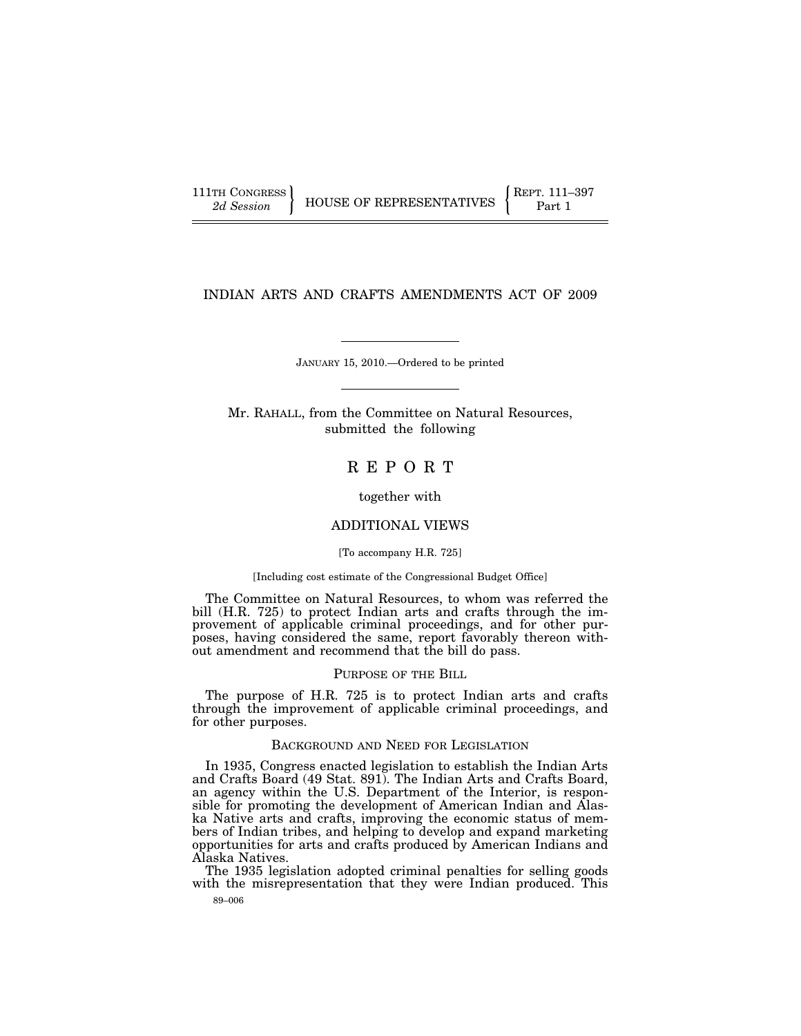111TH CONGRESS **REPRESENTATIVES** REPRESENTATIVES **Part 1** 

# INDIAN ARTS AND CRAFTS AMENDMENTS ACT OF 2009

JANUARY 15, 2010.—Ordered to be printed

Mr. RAHALL, from the Committee on Natural Resources, submitted the following

# R E P O R T

together with

# ADDITIONAL VIEWS

[To accompany H.R. 725]

# [Including cost estimate of the Congressional Budget Office]

The Committee on Natural Resources, to whom was referred the bill (H.R. 725) to protect Indian arts and crafts through the improvement of applicable criminal proceedings, and for other purposes, having considered the same, report favorably thereon without amendment and recommend that the bill do pass.

#### PURPOSE OF THE BILL

The purpose of H.R. 725 is to protect Indian arts and crafts through the improvement of applicable criminal proceedings, and for other purposes.

#### BACKGROUND AND NEED FOR LEGISLATION

In 1935, Congress enacted legislation to establish the Indian Arts and Crafts Board (49 Stat. 891). The Indian Arts and Crafts Board, an agency within the U.S. Department of the Interior, is responsible for promoting the development of American Indian and Alaska Native arts and crafts, improving the economic status of members of Indian tribes, and helping to develop and expand marketing opportunities for arts and crafts produced by American Indians and Alaska Natives.

The 1935 legislation adopted criminal penalties for selling goods with the misrepresentation that they were Indian produced. This

89–006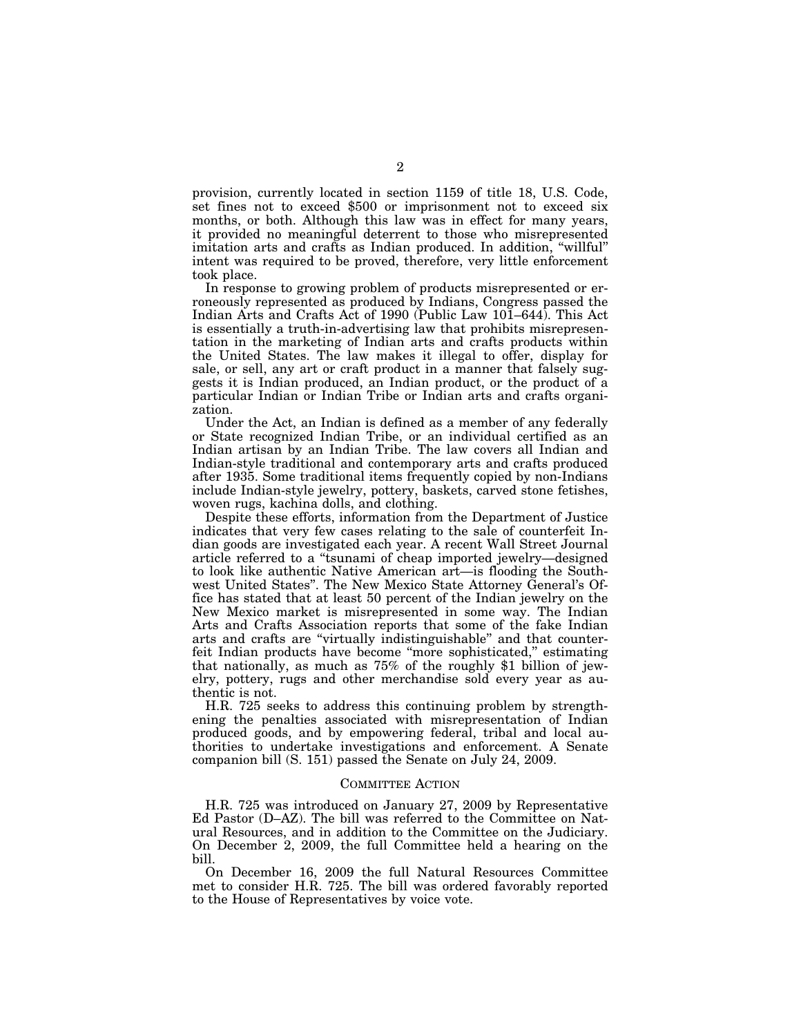provision, currently located in section 1159 of title 18, U.S. Code, set fines not to exceed \$500 or imprisonment not to exceed six months, or both. Although this law was in effect for many years, it provided no meaningful deterrent to those who misrepresented imitation arts and crafts as Indian produced. In addition, "willful" intent was required to be proved, therefore, very little enforcement took place.

In response to growing problem of products misrepresented or erroneously represented as produced by Indians, Congress passed the Indian Arts and Crafts Act of 1990 (Public Law 101–644). This Act is essentially a truth-in-advertising law that prohibits misrepresentation in the marketing of Indian arts and crafts products within the United States. The law makes it illegal to offer, display for sale, or sell, any art or craft product in a manner that falsely suggests it is Indian produced, an Indian product, or the product of a particular Indian or Indian Tribe or Indian arts and crafts organization.

Under the Act, an Indian is defined as a member of any federally or State recognized Indian Tribe, or an individual certified as an Indian artisan by an Indian Tribe. The law covers all Indian and Indian-style traditional and contemporary arts and crafts produced after 1935. Some traditional items frequently copied by non-Indians include Indian-style jewelry, pottery, baskets, carved stone fetishes, woven rugs, kachina dolls, and clothing.

Despite these efforts, information from the Department of Justice indicates that very few cases relating to the sale of counterfeit Indian goods are investigated each year. A recent Wall Street Journal article referred to a ''tsunami of cheap imported jewelry—designed to look like authentic Native American art—is flooding the Southwest United States''. The New Mexico State Attorney General's Office has stated that at least 50 percent of the Indian jewelry on the New Mexico market is misrepresented in some way. The Indian Arts and Crafts Association reports that some of the fake Indian arts and crafts are ''virtually indistinguishable'' and that counterfeit Indian products have become ''more sophisticated,'' estimating that nationally, as much as 75% of the roughly \$1 billion of jewelry, pottery, rugs and other merchandise sold every year as authentic is not.

H.R. 725 seeks to address this continuing problem by strengthening the penalties associated with misrepresentation of Indian produced goods, and by empowering federal, tribal and local authorities to undertake investigations and enforcement. A Senate companion bill (S. 151) passed the Senate on July 24, 2009.

### COMMITTEE ACTION

H.R. 725 was introduced on January 27, 2009 by Representative Ed Pastor (D–AZ). The bill was referred to the Committee on Natural Resources, and in addition to the Committee on the Judiciary. On December 2, 2009, the full Committee held a hearing on the bill.

On December 16, 2009 the full Natural Resources Committee met to consider H.R. 725. The bill was ordered favorably reported to the House of Representatives by voice vote.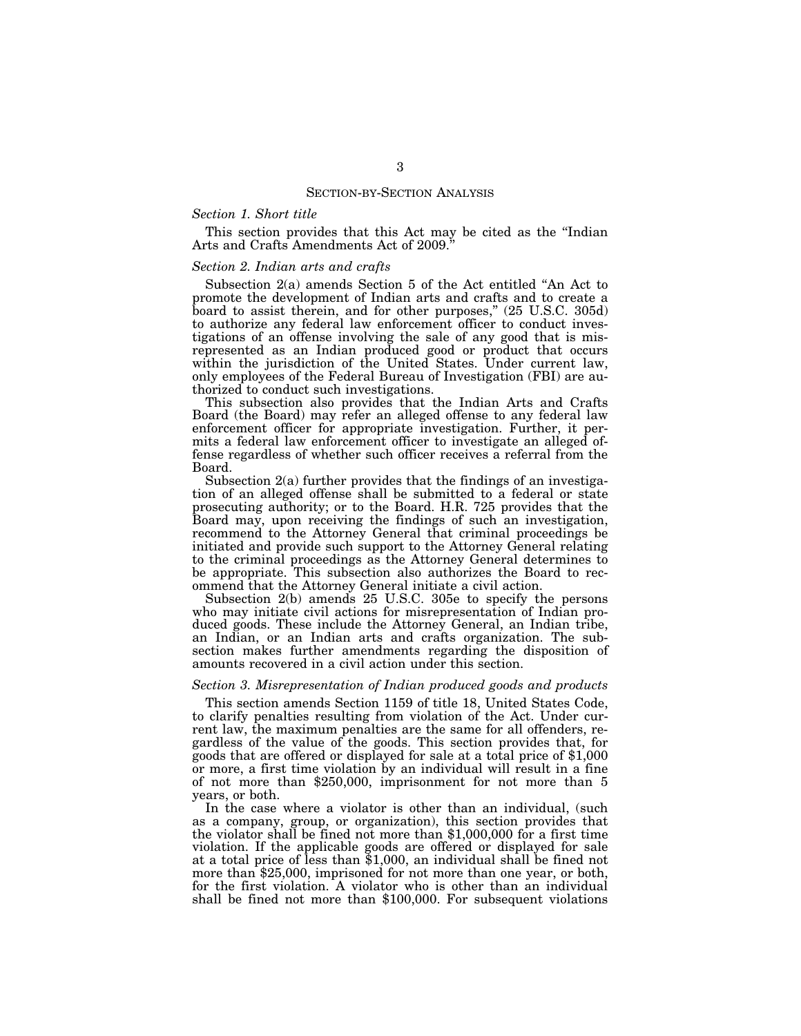#### SECTION-BY-SECTION ANALYSIS

## *Section 1. Short title*

This section provides that this Act may be cited as the ''Indian Arts and Crafts Amendments Act of 2009.''

### *Section 2. Indian arts and crafts*

Subsection 2(a) amends Section 5 of the Act entitled ''An Act to promote the development of Indian arts and crafts and to create a board to assist therein, and for other purposes," (25 U.S.C. 305d) to authorize any federal law enforcement officer to conduct investigations of an offense involving the sale of any good that is misrepresented as an Indian produced good or product that occurs within the jurisdiction of the United States. Under current law, only employees of the Federal Bureau of Investigation (FBI) are authorized to conduct such investigations.

This subsection also provides that the Indian Arts and Crafts Board (the Board) may refer an alleged offense to any federal law enforcement officer for appropriate investigation. Further, it permits a federal law enforcement officer to investigate an alleged offense regardless of whether such officer receives a referral from the Board.

Subsection 2(a) further provides that the findings of an investigation of an alleged offense shall be submitted to a federal or state prosecuting authority; or to the Board. H.R. 725 provides that the Board may, upon receiving the findings of such an investigation, recommend to the Attorney General that criminal proceedings be initiated and provide such support to the Attorney General relating to the criminal proceedings as the Attorney General determines to be appropriate. This subsection also authorizes the Board to recommend that the Attorney General initiate a civil action.

Subsection 2(b) amends 25 U.S.C. 305e to specify the persons who may initiate civil actions for misrepresentation of Indian produced goods. These include the Attorney General, an Indian tribe, an Indian, or an Indian arts and crafts organization. The subsection makes further amendments regarding the disposition of amounts recovered in a civil action under this section.

# *Section 3. Misrepresentation of Indian produced goods and products*

This section amends Section 1159 of title 18, United States Code, to clarify penalties resulting from violation of the Act. Under current law, the maximum penalties are the same for all offenders, regardless of the value of the goods. This section provides that, for goods that are offered or displayed for sale at a total price of \$1,000 or more, a first time violation by an individual will result in a fine of not more than \$250,000, imprisonment for not more than 5 years, or both.

In the case where a violator is other than an individual, (such as a company, group, or organization), this section provides that the violator shall be fined not more than \$1,000,000 for a first time violation. If the applicable goods are offered or displayed for sale at a total price of less than \$1,000, an individual shall be fined not more than \$25,000, imprisoned for not more than one year, or both, for the first violation. A violator who is other than an individual shall be fined not more than \$100,000. For subsequent violations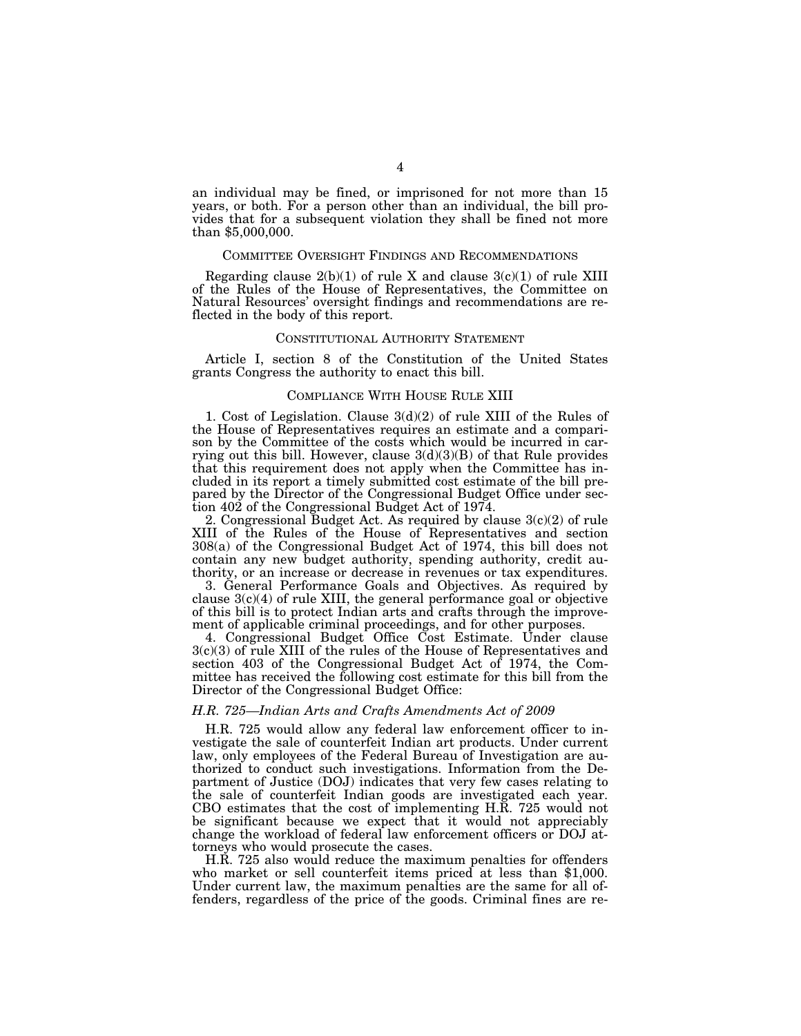an individual may be fined, or imprisoned for not more than 15 years, or both. For a person other than an individual, the bill provides that for a subsequent violation they shall be fined not more than \$5,000,000.

#### COMMITTEE OVERSIGHT FINDINGS AND RECOMMENDATIONS

Regarding clause  $2(b)(1)$  of rule X and clause  $3(c)(1)$  of rule XIII of the Rules of the House of Representatives, the Committee on Natural Resources' oversight findings and recommendations are reflected in the body of this report.

### CONSTITUTIONAL AUTHORITY STATEMENT

Article I, section 8 of the Constitution of the United States grants Congress the authority to enact this bill.

### COMPLIANCE WITH HOUSE RULE XIII

1. Cost of Legislation. Clause 3(d)(2) of rule XIII of the Rules of the House of Representatives requires an estimate and a comparison by the Committee of the costs which would be incurred in carrying out this bill. However, clause  $3(d)(3)(B)$  of that Rule provides that this requirement does not apply when the Committee has included in its report a timely submitted cost estimate of the bill prepared by the Director of the Congressional Budget Office under section 402 of the Congressional Budget Act of 1974.

2. Congressional Budget Act. As required by clause 3(c)(2) of rule XIII of the Rules of the House of Representatives and section 308(a) of the Congressional Budget Act of 1974, this bill does not contain any new budget authority, spending authority, credit authority, or an increase or decrease in revenues or tax expenditures.

3. General Performance Goals and Objectives. As required by clause 3(c)(4) of rule XIII, the general performance goal or objective of this bill is to protect Indian arts and crafts through the improvement of applicable criminal proceedings, and for other purposes.

4. Congressional Budget Office Cost Estimate. Under clause 3(c)(3) of rule XIII of the rules of the House of Representatives and section 403 of the Congressional Budget Act of 1974, the Committee has received the following cost estimate for this bill from the Director of the Congressional Budget Office:

### *H.R. 725—Indian Arts and Crafts Amendments Act of 2009*

H.R. 725 would allow any federal law enforcement officer to investigate the sale of counterfeit Indian art products. Under current law, only employees of the Federal Bureau of Investigation are authorized to conduct such investigations. Information from the Department of Justice (DOJ) indicates that very few cases relating to the sale of counterfeit Indian goods are investigated each year. CBO estimates that the cost of implementing H.R. 725 would not be significant because we expect that it would not appreciably change the workload of federal law enforcement officers or DOJ attorneys who would prosecute the cases.

H.R. 725 also would reduce the maximum penalties for offenders who market or sell counterfeit items priced at less than \$1,000. Under current law, the maximum penalties are the same for all offenders, regardless of the price of the goods. Criminal fines are re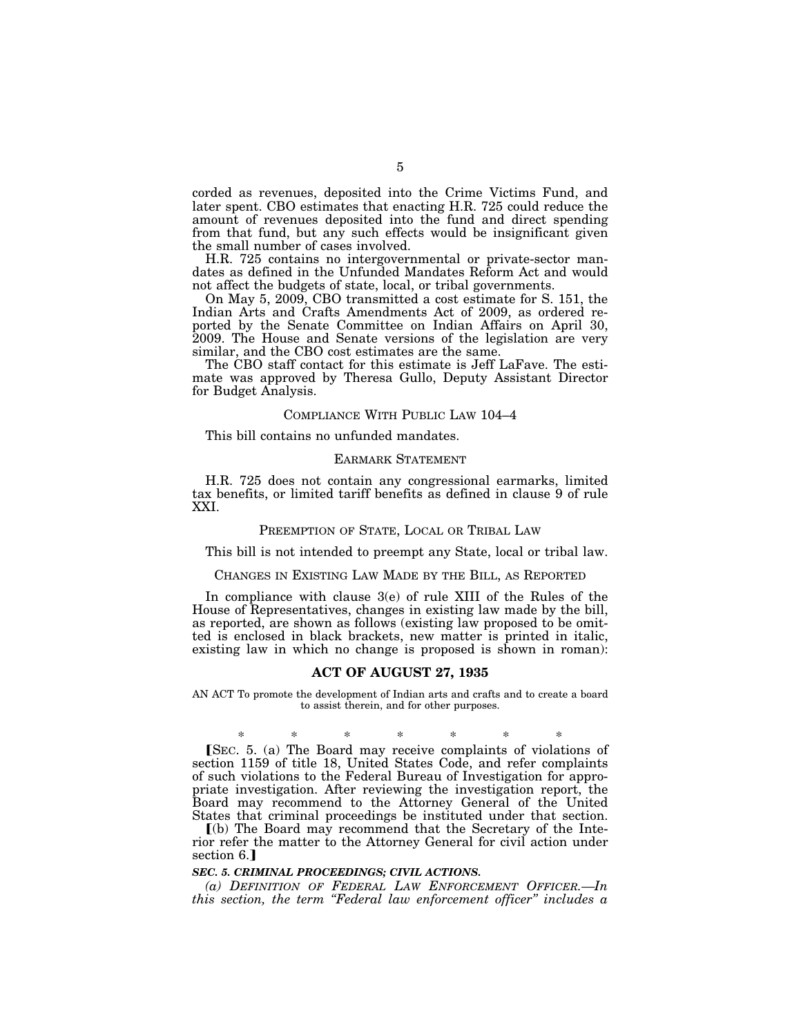corded as revenues, deposited into the Crime Victims Fund, and later spent. CBO estimates that enacting H.R. 725 could reduce the amount of revenues deposited into the fund and direct spending from that fund, but any such effects would be insignificant given the small number of cases involved.

H.R. 725 contains no intergovernmental or private-sector mandates as defined in the Unfunded Mandates Reform Act and would not affect the budgets of state, local, or tribal governments.

On May 5, 2009, CBO transmitted a cost estimate for S. 151, the Indian Arts and Crafts Amendments Act of 2009, as ordered reported by the Senate Committee on Indian Affairs on April 30, 2009. The House and Senate versions of the legislation are very similar, and the CBO cost estimates are the same.

The CBO staff contact for this estimate is Jeff LaFave. The estimate was approved by Theresa Gullo, Deputy Assistant Director for Budget Analysis.

### COMPLIANCE WITH PUBLIC LAW 104–4

This bill contains no unfunded mandates.

#### EARMARK STATEMENT

H.R. 725 does not contain any congressional earmarks, limited tax benefits, or limited tariff benefits as defined in clause 9 of rule XXI.

#### PREEMPTION OF STATE, LOCAL OR TRIBAL LAW

This bill is not intended to preempt any State, local or tribal law.

### CHANGES IN EXISTING LAW MADE BY THE BILL, AS REPORTED

In compliance with clause 3(e) of rule XIII of the Rules of the House of Representatives, changes in existing law made by the bill, as reported, are shown as follows (existing law proposed to be omitted is enclosed in black brackets, new matter is printed in italic, existing law in which no change is proposed is shown in roman):

#### **ACT OF AUGUST 27, 1935**

AN ACT To promote the development of Indian arts and crafts and to create a board to assist therein, and for other purposes.

\* \* \* \* \* \* \* øSEC. 5. (a) The Board may receive complaints of violations of section 1159 of title 18, United States Code, and refer complaints of such violations to the Federal Bureau of Investigation for appropriate investigation. After reviewing the investigation report, the Board may recommend to the Attorney General of the United States that criminal proceedings be instituted under that section.

ø(b) The Board may recommend that the Secretary of the Interior refer the matter to the Attorney General for civil action under section 6.

## *SEC. 5. CRIMINAL PROCEEDINGS; CIVIL ACTIONS.*

*(a) DEFINITION OF FEDERAL LAW ENFORCEMENT OFFICER.—In this section, the term ''Federal law enforcement officer'' includes a*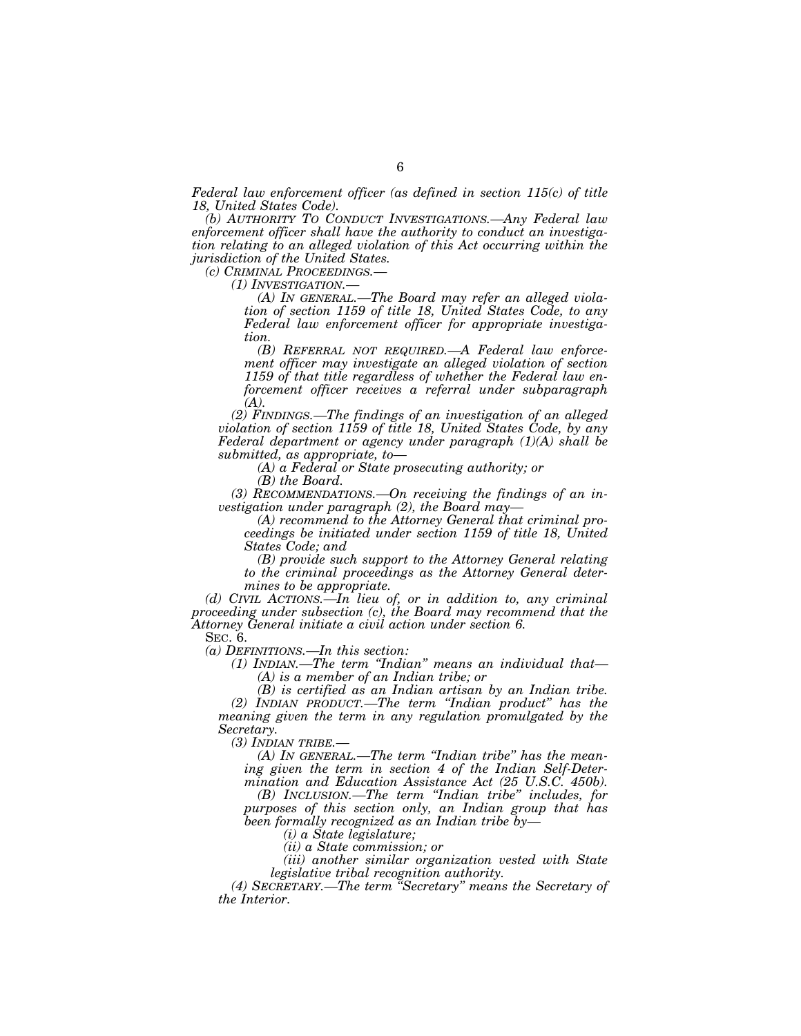*Federal law enforcement officer (as defined in section 115(c) of title 18, United States Code).* 

*(b) AUTHORITY TO CONDUCT INVESTIGATIONS.—Any Federal law enforcement officer shall have the authority to conduct an investigation relating to an alleged violation of this Act occurring within the jurisdiction of the United States.* 

*(1) INVESTIGATION.—*<br> *(A) IN GENERAL.—The Board may refer an alleged violation of section 1159 of title 18, United States Code, to any Federal law enforcement officer for appropriate investigation.* 

*(B) REFERRAL NOT REQUIRED.—A Federal law enforcement officer may investigate an alleged violation of section 1159 of that title regardless of whether the Federal law enforcement officer receives a referral under subparagraph (A).* 

*(2) FINDINGS.—The findings of an investigation of an alleged violation of section 1159 of title 18, United States Code, by any Federal department or agency under paragraph (1)(A) shall be submitted, as appropriate, to—* 

*(A) a Federal or State prosecuting authority; or* 

*(B) the Board.* 

*(3) RECOMMENDATIONS.—On receiving the findings of an investigation under paragraph (2), the Board may—* 

*(A) recommend to the Attorney General that criminal pro-*

*ceedings be initiated under section 1159 of title 18, United States Code; and* 

*(B) provide such support to the Attorney General relating to the criminal proceedings as the Attorney General determines to be appropriate.* 

*(d) CIVIL ACTIONS.—In lieu of, or in addition to, any criminal proceeding under subsection (c), the Board may recommend that the Attorney General initiate a civil action under section 6.* 

SEC. 6.

*(a) DEFINITIONS.—In this section:* 

*(1) INDIAN.—The term ''Indian'' means an individual that— (A) is a member of an Indian tribe; or* 

*(B) is certified as an Indian artisan by an Indian tribe. (2) INDIAN PRODUCT.—The term ''Indian product'' has the meaning given the term in any regulation promulgated by the Secretary.* 

*(3) INDIAN TRIBE.—* 

*(A) IN GENERAL.—The term ''Indian tribe'' has the meaning given the term in section 4 of the Indian Self-Determination and Education Assistance Act (25 U.S.C. 450b).* 

*(B) INCLUSION.—The term ''Indian tribe'' includes, for purposes of this section only, an Indian group that has been formally recognized as an Indian tribe by—* 

*(i) a State legislature;* 

*(ii) a State commission; or* 

*(iii) another similar organization vested with State legislative tribal recognition authority.* 

*(4) SECRETARY.—The term ''Secretary'' means the Secretary of the Interior.*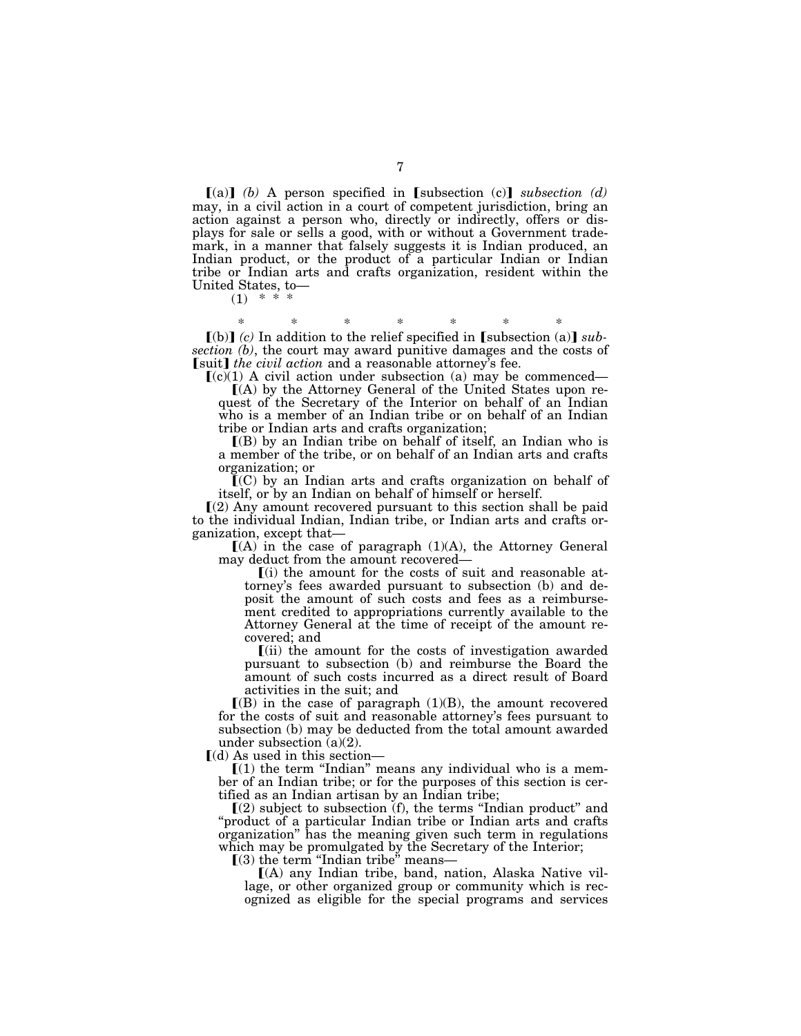$(a)$  (b) A person specified in [subsection (c)] *subsection (d)* may, in a civil action in a court of competent jurisdiction, bring an action against a person who, directly or indirectly, offers or displays for sale or sells a good, with or without a Government trademark, in a manner that falsely suggests it is Indian produced, an Indian product, or the product of a particular Indian or Indian tribe or Indian arts and crafts organization, resident within the United States, to—

 $(1)$  \*

\* \* \* \* \* \* \*  $\llbracket$ (b)  $\rrbracket$  (c) In addition to the relief specified in  $\llbracket$  subsection (a)  $\rrbracket$  sub*section (b)*, the court may award punitive damages and the costs of [suit] *the civil action* and a reasonable attorney's fee.

 $(c)(1)$  A civil action under subsection (a) may be commenced—

 $(A)$  by the Attorney General of the United States upon request of the Secretary of the Interior on behalf of an Indian who is a member of an Indian tribe or on behalf of an Indian tribe or Indian arts and crafts organization;

 $(6)$  by an Indian tribe on behalf of itself, an Indian who is a member of the tribe, or on behalf of an Indian arts and crafts organization; or

 $\mathbf{C}(C)$  by an Indian arts and crafts organization on behalf of itself, or by an Indian on behalf of himself or herself.

 $(2)$  Any amount recovered pursuant to this section shall be paid to the individual Indian, Indian tribe, or Indian arts and crafts organization, except that—

 $[(A)$  in the case of paragraph  $(1)(A)$ , the Attorney General may deduct from the amount recovered—

 $(i)$  the amount for the costs of suit and reasonable attorney's fees awarded pursuant to subsection (b) and deposit the amount of such costs and fees as a reimbursement credited to appropriations currently available to the Attorney General at the time of receipt of the amount recovered; and

ø(ii) the amount for the costs of investigation awarded pursuant to subsection (b) and reimburse the Board the amount of such costs incurred as a direct result of Board activities in the suit; and

 $[(B)$  in the case of paragraph  $(1)(B)$ , the amount recovered for the costs of suit and reasonable attorney's fees pursuant to subsection (b) may be deducted from the total amount awarded under subsection (a)(2).

 $\lbrack$ (d) As used in this section—

 $[(1)$  the term "Indian" means any individual who is a member of an Indian tribe; or for the purposes of this section is certified as an Indian artisan by an Indian tribe;

 $(2)$  subject to subsection (f), the terms "Indian product" and ''product of a particular Indian tribe or Indian arts and crafts organization'' has the meaning given such term in regulations which may be promulgated by the Secretary of the Interior;<br>
[(3) the term "Indian tribe" means—

 $(A)$  any Indian tribe, band, nation, Alaska Native village, or other organized group or community which is recognized as eligible for the special programs and services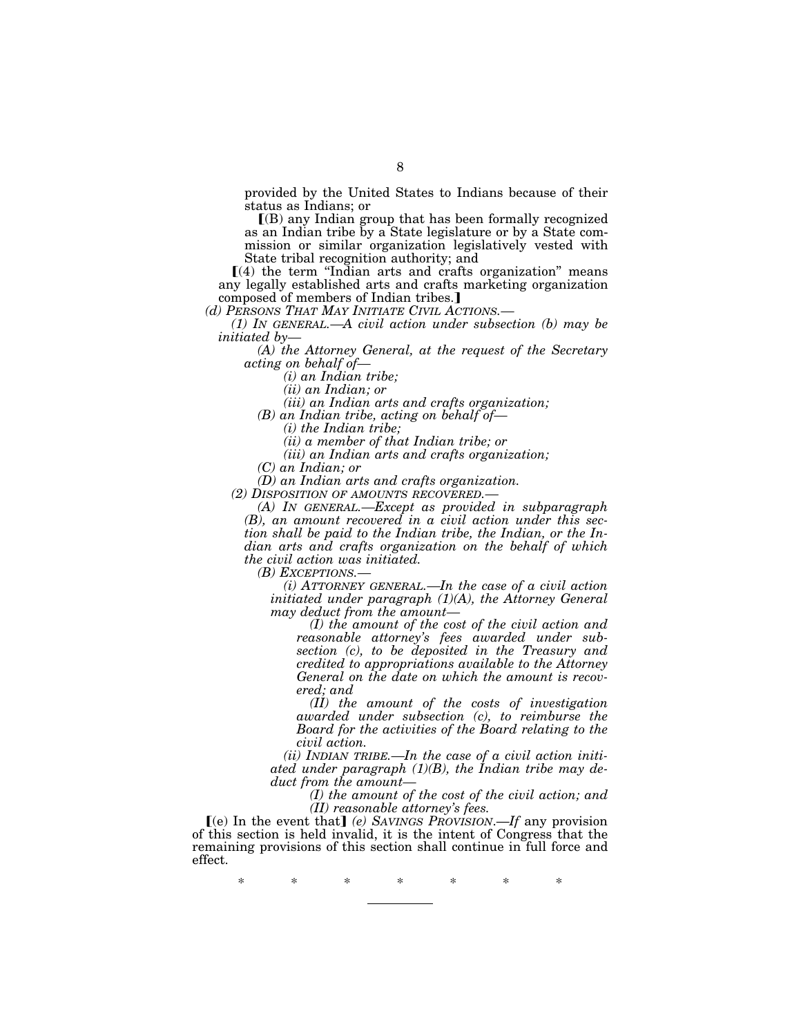provided by the United States to Indians because of their status as Indians; or

 $(6)$  any Indian group that has been formally recognized as an Indian tribe by a State legislature or by a State commission or similar organization legislatively vested with State tribal recognition authority; and

 $(4)$  the term "Indian arts and crafts organization" means any legally established arts and crafts marketing organization composed of members of Indian tribes.]<br>(d) PERSONS THAT MAY INITIATE CIVIL ACTIONS.—

*(1) IN GENERAL.—A civil action under subsection (b) may be initiated by—* 

*(A) the Attorney General, at the request of the Secretary acting on behalf of—* 

*(i) an Indian tribe;* 

*(ii) an Indian; or* 

*(iii) an Indian arts and crafts organization;* 

*(B) an Indian tribe, acting on behalf of—* 

*(i) the Indian tribe;* 

*(ii) a member of that Indian tribe; or* 

*(iii) an Indian arts and crafts organization;* 

*(C) an Indian; or* 

*(D) an Indian arts and crafts organization.* 

*(A) IN GENERAL.—Except as provided in subparagraph (B), an amount recovered in a civil action under this section shall be paid to the Indian tribe, the Indian, or the Indian arts and crafts organization on the behalf of which the civil action was initiated.* 

*(B) EXCEPTIONS.— (i) ATTORNEY GENERAL.—In the case of a civil action initiated under paragraph (1)(A), the Attorney General may deduct from the amount—* 

*(I) the amount of the cost of the civil action and reasonable attorney's fees awarded under subsection (c), to be deposited in the Treasury and credited to appropriations available to the Attorney General on the date on which the amount is recovered; and* 

*(II) the amount of the costs of investigation awarded under subsection (c), to reimburse the Board for the activities of the Board relating to the civil action.* 

*(ii) INDIAN TRIBE.—In the case of a civil action initiated under paragraph (1)(B), the Indian tribe may deduct from the amount—* 

> *(I) the amount of the cost of the civil action; and (II) reasonable attorney's fees.*

 $(e)$  In the event that  $(e)$  *SAVINGS PROVISION.—If* any provision of this section is held invalid, it is the intent of Congress that the remaining provisions of this section shall continue in full force and effect.

\* \* \* \* \* \* \*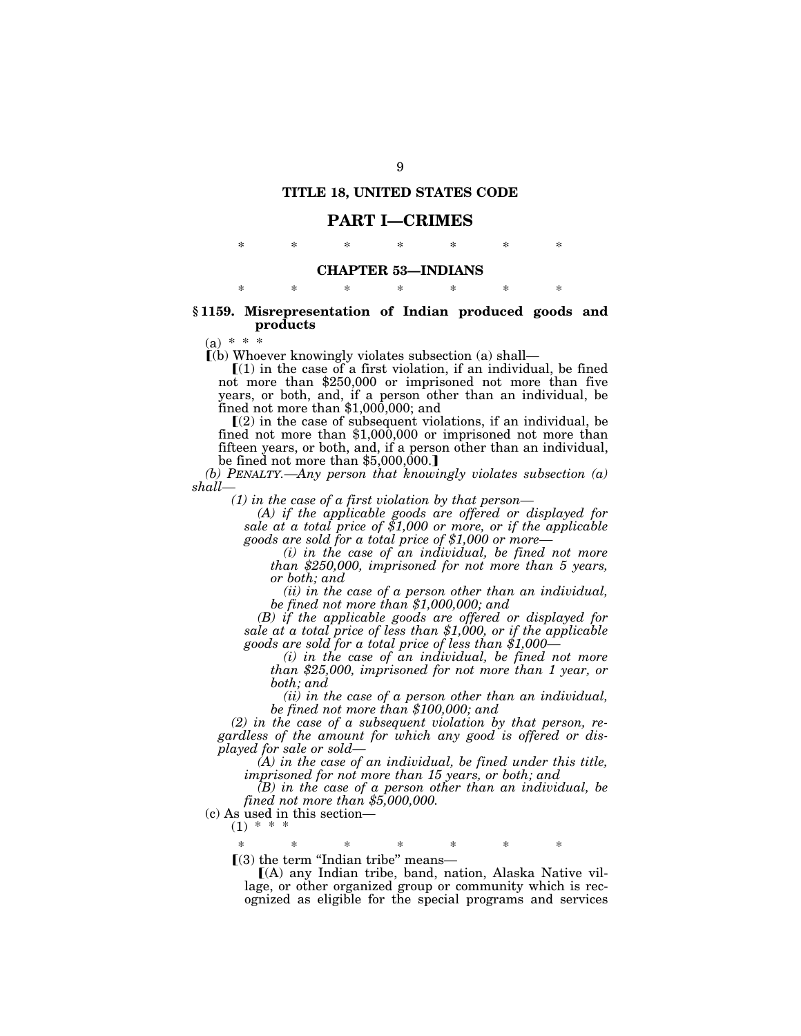# **TITLE 18, UNITED STATES CODE**

## **PART I—CRIMES**

\* \* \* \* \* \* \*

## **CHAPTER 53—INDIANS**

\* \* \* \* \* \* \*

## **§ 1159. Misrepresentation of Indian produced goods and products**

 $(a) * * *$ 

 $\lceil$ (b) Whoever knowingly violates subsection (a) shall—

 $\mathbf{I}(1)$  in the case of a first violation, if an individual, be fined not more than \$250,000 or imprisoned not more than five years, or both, and, if a person other than an individual, be fined not more than \$1,000,000; and

 $(2)$  in the case of subsequent violations, if an individual, be fined not more than \$1,000,000 or imprisoned not more than fifteen years, or both, and, if a person other than an individual, be fined not more than \$5,000,000.]

*(b) PENALTY.—Any person that knowingly violates subsection (a) shall—* 

*(1) in the case of a first violation by that person—* 

*(A) if the applicable goods are offered or displayed for sale at a total price of \$1,000 or more, or if the applicable goods are sold for a total price of \$1,000 or more—* 

*(i) in the case of an individual, be fined not more than \$250,000, imprisoned for not more than 5 years, or both; and* 

*(ii) in the case of a person other than an individual, be fined not more than \$1,000,000; and* 

*(B) if the applicable goods are offered or displayed for sale at a total price of less than \$1,000, or if the applicable goods are sold for a total price of less than \$1,000—* 

*(i) in the case of an individual, be fined not more than \$25,000, imprisoned for not more than 1 year, or both; and* 

*(ii) in the case of a person other than an individual, be fined not more than \$100,000; and* 

*(2) in the case of a subsequent violation by that person, regardless of the amount for which any good is offered or displayed for sale or sold—* 

*(A) in the case of an individual, be fined under this title, imprisoned for not more than 15 years, or both; and* 

*(B) in the case of a person other than an individual, be fined not more than \$5,000,000.* 

(c) As used in this section—  $(1) * * * *$ 

\* \* \* \* \* \* \*

 $(3)$  the term "Indian tribe" means—

 $(A)$  any Indian tribe, band, nation, Alaska Native village, or other organized group or community which is recognized as eligible for the special programs and services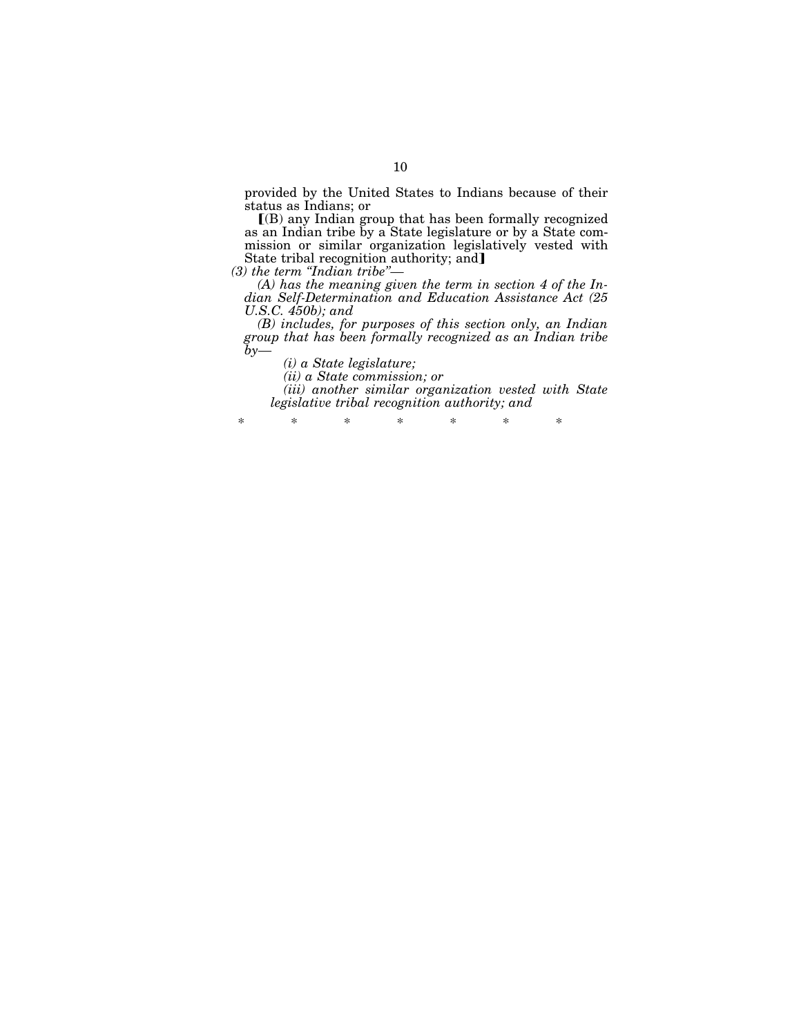provided by the United States to Indians because of their status as Indians; or

 $I(B)$  any Indian group that has been formally recognized as an Indian tribe by a State legislature or by a State commission or similar organization legislatively vested with State tribal recognition authority; and]

*(3) the term ''Indian tribe''—* 

*(A) has the meaning given the term in section 4 of the Indian Self-Determination and Education Assistance Act (25 U.S.C. 450b); and* 

*(B) includes, for purposes of this section only, an Indian group that has been formally recognized as an Indian tribe by—* 

*(i) a State legislature;* 

*(ii) a State commission; or* 

*(iii) another similar organization vested with State legislative tribal recognition authority; and* 

\* \* \* \* \* \* \*